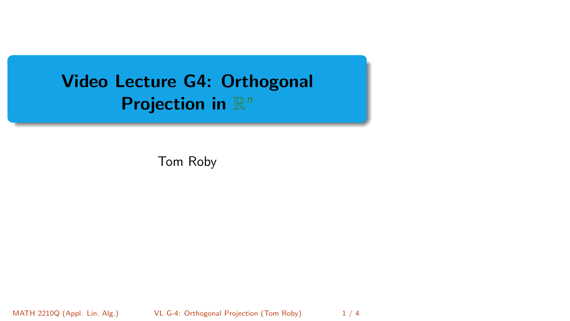# <span id="page-0-0"></span>Video Lecture G4: Orthogonal Projection in  $\mathbb{R}^n$

Tom Roby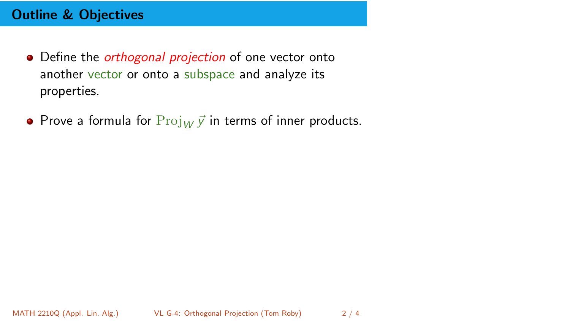- Define the *orthogonal projection* of one vector onto another vector or onto a subspace and analyze its properties.
- Prove a formula for  $Proj_W \vec{y}$  in terms of inner products.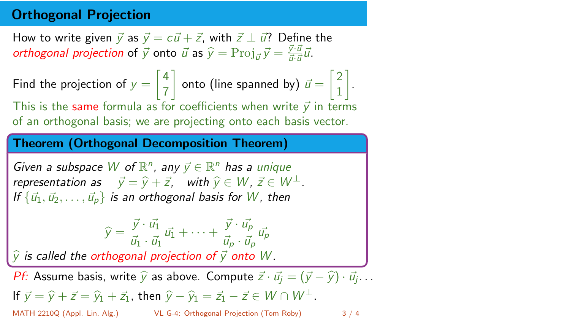### Orthogonal Projection

How to write given  $\vec{v}$  as  $\vec{v} = c\vec{u} + \vec{z}$ , with  $\vec{z} \perp \vec{u}$ ? Define the *orthogonal projection* of  $\vec{y}$  onto  $\vec{u}$  as  $\hat{y} = \text{Proj}_{\vec{u}} \vec{y} = \frac{\vec{y} \cdot \vec{u}}{\vec{u} \cdot \vec{u}} \vec{u}$ .

Find the projection of  $y = \begin{bmatrix} 4 \\ 7 \end{bmatrix}$ 7  $\begin{bmatrix} 2 \end{bmatrix}$  onto (line spanned by)  $\vec{u} = \begin{bmatrix} 2 \ 1 \end{bmatrix}$ 1 . This is the same formula as for coefficients when write  $\vec{v}$  in terms of an orthogonal basis; we are projecting onto each basis vector.

#### Theorem (Orthogonal Decomposition Theorem)

Given a subspace W of  $\mathbb{R}^n$ , any  $\vec{y} \in \mathbb{R}^n$  has a unique representation as  $\vec{y} = \hat{y} + \vec{z}$ , with  $\hat{y} \in W$ ,  $\vec{z} \in W^{\perp}$ . If  $\{\vec{u}_1, \vec{u}_2, \dots, \vec{u}_p\}$  is an orthogonal basis for W, then

$$
\widehat{y} = \frac{\vec{y} \cdot \vec{u_1}}{\vec{u_1} \cdot \vec{u_1}} \vec{u_1} + \dots + \frac{\vec{y} \cdot \vec{u_p}}{\vec{u_p} \cdot \vec{u_p}} \vec{u_p}
$$

 $\hat{y}$  is called the orthogonal projection of  $\vec{y}$  onto W.

*Pf:* Assume basis, write  $\hat{y}$  as above. Compute  $\vec{z} \cdot \vec{u_j} = (\vec{y} - \hat{y}) \cdot \vec{u_j} \dots$ **If**  $\vec{y} = \hat{y} + \vec{z} = \hat{y}_1 + \vec{z}_1$ , then  $\hat{y} - \hat{y}_1 = \vec{z}_1 - \vec{z} \in W \cap W^{\perp}$ .<br>MATH 2210Q (Appl. Lin. Alg.) VL G-4: Orthogonal Projection (Tom Roby) [VL G-4: Orthogonal Projection](#page-0-0) (Tom Roby) 3 / 4